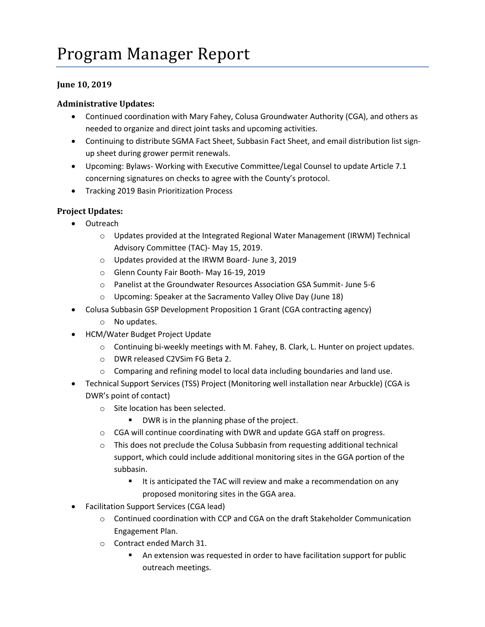## Program Manager Report

## **June 10, 2019**

## **Administrative Updates:**

- Continued coordination with Mary Fahey, Colusa Groundwater Authority (CGA), and others as needed to organize and direct joint tasks and upcoming activities.
- Continuing to distribute SGMA Fact Sheet, Subbasin Fact Sheet, and email distribution list signup sheet during grower permit renewals.
- Upcoming: Bylaws- Working with Executive Committee/Legal Counsel to update Article 7.1 concerning signatures on checks to agree with the County's protocol.
- **•** Tracking 2019 Basin Prioritization Process

## **Project Updates:**

- Outreach
	- o Updates provided at the Integrated Regional Water Management (IRWM) Technical Advisory Committee (TAC)- May 15, 2019.
	- o Updates provided at the IRWM Board- June 3, 2019
	- o Glenn County Fair Booth- May 16-19, 2019
	- o Panelist at the Groundwater Resources Association GSA Summit- June 5-6
	- o Upcoming: Speaker at the Sacramento Valley Olive Day (June 18)
- Colusa Subbasin GSP Development Proposition 1 Grant (CGA contracting agency)
	- o No updates.
- HCM/Water Budget Project Update
	- o Continuing bi-weekly meetings with M. Fahey, B. Clark, L. Hunter on project updates.
	- o DWR released C2VSim FG Beta 2.
	- $\circ$  Comparing and refining model to local data including boundaries and land use.
- Technical Support Services (TSS) Project (Monitoring well installation near Arbuckle) (CGA is DWR's point of contact)
	- o Site location has been selected.
		- DWR is in the planning phase of the project.
	- $\circ$  CGA will continue coordinating with DWR and update GGA staff on progress.
	- $\circ$  This does not preclude the Colusa Subbasin from requesting additional technical support, which could include additional monitoring sites in the GGA portion of the subbasin.
		- It is anticipated the TAC will review and make a recommendation on any proposed monitoring sites in the GGA area.
- Facilitation Support Services (CGA lead)
	- $\circ$  Continued coordination with CCP and CGA on the draft Stakeholder Communication Engagement Plan.
	- o Contract ended March 31.
		- An extension was requested in order to have facilitation support for public outreach meetings.